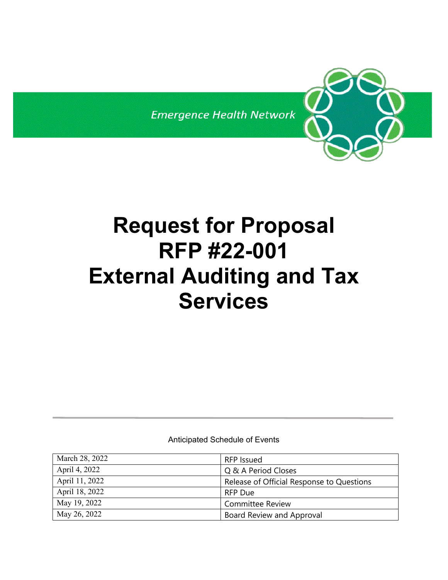**Emergence Health Network** 



Anticipated Schedule of Events

| March 28, 2022 | RFP Issued                                |
|----------------|-------------------------------------------|
| April 4, 2022  | Q & A Period Closes                       |
| April 11, 2022 | Release of Official Response to Questions |
| April 18, 2022 | RFP Due                                   |
| May 19, 2022   | <b>Committee Review</b>                   |
| May 26, 2022   | Board Review and Approval                 |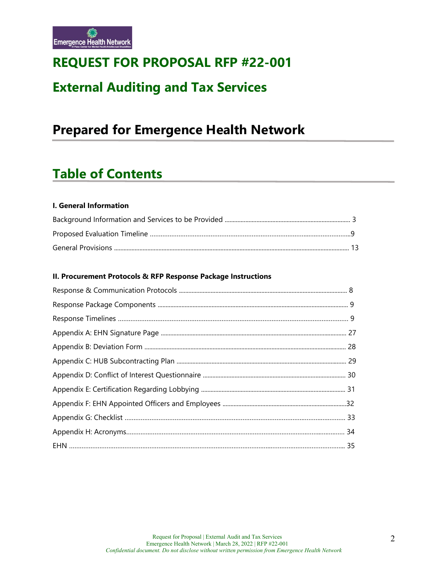

# **REQUEST FOR PROPOSAL RFP #22-001**

# **External Auditing and Tax Services**

# **Prepared for Emergence Health Network**

# **Table of Contents**

## **I. General Information**

### **II. Procurement Protocols & RFP Response Package Instructions**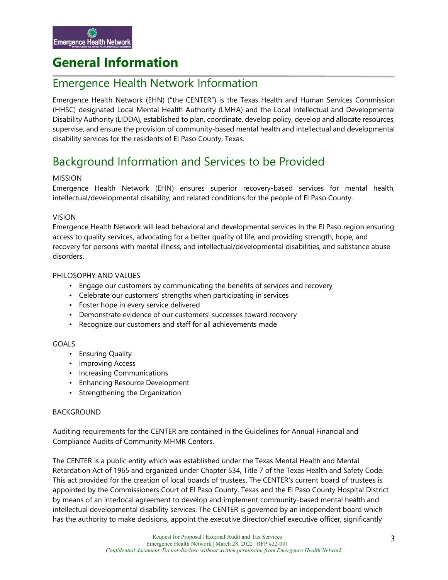# **General Information**

## Emergence Health Network Information

Emergence Health Network (EHN) ("the CENTER") is the Texas Health and Human Services Commission (HHSC) designated Local Mental Health Authority (LMHA) and the Local Intellectual and Developmental Disability Authority (LIDDA), established to plan, coordinate, develop policy, develop and allocate resources, supervise, and ensure the provision of community-based mental health and intellectual and developmental disability services for the residents of El Paso County, Texas.

## Background Information and Services to be Provided

## MISSION

Emergence Health Network (EHN) ensures superior recovery-based services for mental health, intellectual/developmental disability, and related conditions for the people of El Paso County.

## VISION

Emergence Health Network will lead behavioral and developmental services in the El Paso region ensuring access to quality services, advocating for a better quality of life, and providing strength, hope, and recovery for persons with mental illness, and intellectual/developmental disabilities, and substance abuse disorders.

#### PHILOSOPHY AND VALUES

- Engage our customers by communicating the benefits of services and recovery
- Celebrate our customers' strengths when participating in services
- Foster hope in every service delivered
- Demonstrate evidence of our customers' successes toward recovery
- Recognize our customers and staff for all achievements made

#### GOALS

- Ensuring Quality
- Improving Access
- Increasing Communications
- Enhancing Resource Development
- Strengthening the Organization

#### BACKGROUND

Auditing requirements for the CENTER are contained in the Guidelines for Annual Financial and Compliance Audits of Community MHMR Centers.

The CENTER is a public entity which was established under the Texas Mental Health and Mental Retardation Act of 1965 and organized under Chapter 534, Title 7 of the Texas Health and Safety Code. This act provided for the creation of local boards of trustees. The CENTER's current board of trustees is appointed by the Commissioners Court of El Paso County, Texas and the El Paso County Hospital District by means of an interlocal agreement to develop and implement community-based mental health and intellectual developmental disability services. The CENTER is governed by an independent board which has the authority to make decisions, appoint the executive director/chief executive officer, significantly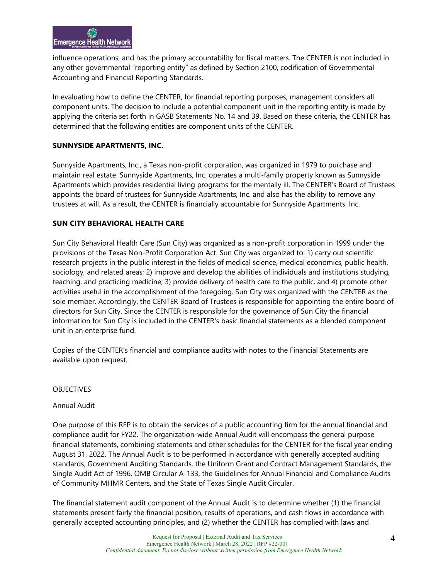influence operations, and has the primary accountability for fiscal matters. The CENTER is not included in any other governmental "reporting entity" as defined by Section 2100, codification of Governmental Accounting and Financial Reporting Standards.

In evaluating how to define the CENTER, for financial reporting purposes, management considers all component units. The decision to include a potential component unit in the reporting entity is made by applying the criteria set forth in GASB Statements No. 14 and 39. Based on these criteria, the CENTER has determined that the following entities are component units of the CENTER.

## **SUNNYSIDE APARTMENTS, INC.**

Sunnyside Apartments, Inc., a Texas non-profit corporation, was organized in 1979 to purchase and maintain real estate. Sunnyside Apartments, Inc. operates a multi-family property known as Sunnyside Apartments which provides residential living programs for the mentally ill. The CENTER's Board of Trustees appoints the board of trustees for Sunnyside Apartments, Inc. and also has the ability to remove any trustees at will. As a result, the CENTER is financially accountable for Sunnyside Apartments, Inc.

## **SUN CITY BEHAVIORAL HEALTH CARE**

Sun City Behavioral Health Care (Sun City) was organized as a non-profit corporation in 1999 under the provisions of the Texas Non-Profit Corporation Act. Sun City was organized to: 1) carry out scientific research projects in the public interest in the fields of medical science, medical economics, public health, sociology, and related areas; 2) improve and develop the abilities of individuals and institutions studying, teaching, and practicing medicine; 3) provide delivery of health care to the public, and 4) promote other activities useful in the accomplishment of the foregoing. Sun City was organized with the CENTER as the sole member. Accordingly, the CENTER Board of Trustees is responsible for appointing the entire board of directors for Sun City. Since the CENTER is responsible for the governance of Sun City the financial information for Sun City is included in the CENTER's basic financial statements as a blended component unit in an enterprise fund.

Copies of the CENTER's financial and compliance audits with notes to the Financial Statements are available upon request.

#### **OBJECTIVES**

#### Annual Audit

One purpose of this RFP is to obtain the services of a public accounting firm for the annual financial and compliance audit for FY22. The organization-wide Annual Audit will encompass the general purpose financial statements, combining statements and other schedules for the CENTER for the fiscal year ending August 31, 2022. The Annual Audit is to be performed in accordance with generally accepted auditing standards, Government Auditing Standards, the Uniform Grant and Contract Management Standards, the Single Audit Act of 1996, OMB Circular A-133, the Guidelines for Annual Financial and Compliance Audits of Community MHMR Centers, and the State of Texas Single Audit Circular.

The financial statement audit component of the Annual Audit is to determine whether (1) the financial statements present fairly the financial position, results of operations, and cash flows in accordance with generally accepted accounting principles, and (2) whether the CENTER has complied with laws and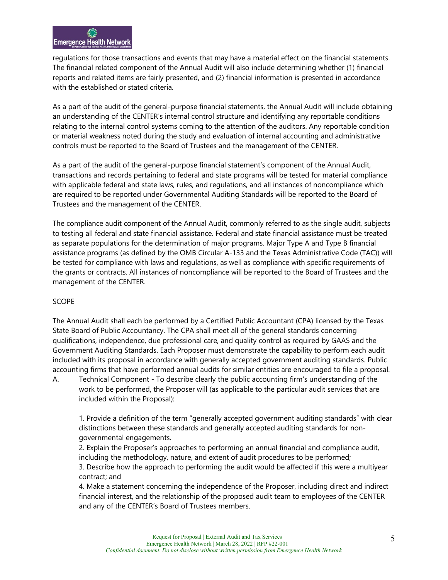regulations for those transactions and events that may have a material effect on the financial statements. The financial related component of the Annual Audit will also include determining whether (1) financial reports and related items are fairly presented, and (2) financial information is presented in accordance with the established or stated criteria.

As a part of the audit of the general-purpose financial statements, the Annual Audit will include obtaining an understanding of the CENTER's internal control structure and identifying any reportable conditions relating to the internal control systems coming to the attention of the auditors. Any reportable condition or material weakness noted during the study and evaluation of internal accounting and administrative controls must be reported to the Board of Trustees and the management of the CENTER.

As a part of the audit of the general-purpose financial statement's component of the Annual Audit, transactions and records pertaining to federal and state programs will be tested for material compliance with applicable federal and state laws, rules, and regulations, and all instances of noncompliance which are required to be reported under Governmental Auditing Standards will be reported to the Board of Trustees and the management of the CENTER.

The compliance audit component of the Annual Audit, commonly referred to as the single audit, subjects to testing all federal and state financial assistance. Federal and state financial assistance must be treated as separate populations for the determination of major programs. Major Type A and Type B financial assistance programs (as defined by the OMB Circular A-133 and the Texas Administrative Code (TAC)) will be tested for compliance with laws and regulations, as well as compliance with specific requirements of the grants or contracts. All instances of noncompliance will be reported to the Board of Trustees and the management of the CENTER.

#### SCOPE

contract; and

The Annual Audit shall each be performed by a Certified Public Accountant (CPA) licensed by the Texas State Board of Public Accountancy. The CPA shall meet all of the general standards concerning qualifications, independence, due professional care, and quality control as required by GAAS and the Government Auditing Standards. Each Proposer must demonstrate the capability to perform each audit included with its proposal in accordance with generally accepted government auditing standards. Public accounting firms that have performed annual audits for similar entities are encouraged to file a proposal.

A. Technical Component - To describe clearly the public accounting firm's understanding of the work to be performed, the Proposer will (as applicable to the particular audit services that are included within the Proposal):

1. Provide a definition of the term "generally accepted government auditing standards" with clear distinctions between these standards and generally accepted auditing standards for nongovernmental engagements.

2. Explain the Proposer's approaches to performing an annual financial and compliance audit, including the methodology, nature, and extent of audit procedures to be performed; 3. Describe how the approach to performing the audit would be affected if this were a multiyear

4. Make a statement concerning the independence of the Proposer, including direct and indirect financial interest, and the relationship of the proposed audit team to employees of the CENTER and any of the CENTER's Board of Trustees members.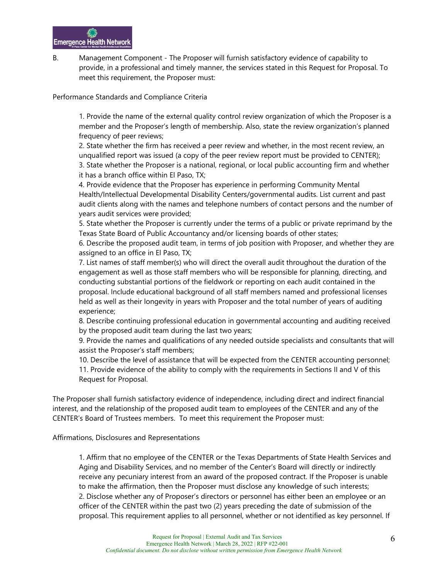B. Management Component - The Proposer will furnish satisfactory evidence of capability to provide, in a professional and timely manner, the services stated in this Request for Proposal. To meet this requirement, the Proposer must:

Performance Standards and Compliance Criteria

1. Provide the name of the external quality control review organization of which the Proposer is a member and the Proposer's length of membership. Also, state the review organization's planned frequency of peer reviews;

2. State whether the firm has received a peer review and whether, in the most recent review, an unqualified report was issued (a copy of the peer review report must be provided to CENTER); 3. State whether the Proposer is a national, regional, or local public accounting firm and whether it has a branch office within El Paso, TX;

4. Provide evidence that the Proposer has experience in performing Community Mental Health/Intellectual Developmental Disability Centers/governmental audits. List current and past audit clients along with the names and telephone numbers of contact persons and the number of years audit services were provided;

5. State whether the Proposer is currently under the terms of a public or private reprimand by the Texas State Board of Public Accountancy and/or licensing boards of other states;

6. Describe the proposed audit team, in terms of job position with Proposer, and whether they are assigned to an office in El Paso, TX;

7. List names of staff member(s) who will direct the overall audit throughout the duration of the engagement as well as those staff members who will be responsible for planning, directing, and conducting substantial portions of the fieldwork or reporting on each audit contained in the proposal. Include educational background of all staff members named and professional licenses held as well as their longevity in years with Proposer and the total number of years of auditing experience;

8. Describe continuing professional education in governmental accounting and auditing received by the proposed audit team during the last two years;

9. Provide the names and qualifications of any needed outside specialists and consultants that will assist the Proposer's staff members;

10. Describe the level of assistance that will be expected from the CENTER accounting personnel;

11. Provide evidence of the ability to comply with the requirements in Sections II and V of this Request for Proposal.

The Proposer shall furnish satisfactory evidence of independence, including direct and indirect financial interest, and the relationship of the proposed audit team to employees of the CENTER and any of the CENTER's Board of Trustees members. To meet this requirement the Proposer must:

Affirmations, Disclosures and Representations

1. Affirm that no employee of the CENTER or the Texas Departments of State Health Services and Aging and Disability Services, and no member of the Center's Board will directly or indirectly receive any pecuniary interest from an award of the proposed contract. If the Proposer is unable to make the affirmation, then the Proposer must disclose any knowledge of such interests; 2. Disclose whether any of Proposer's directors or personnel has either been an employee or an officer of the CENTER within the past two (2) years preceding the date of submission of the proposal. This requirement applies to all personnel, whether or not identified as key personnel. If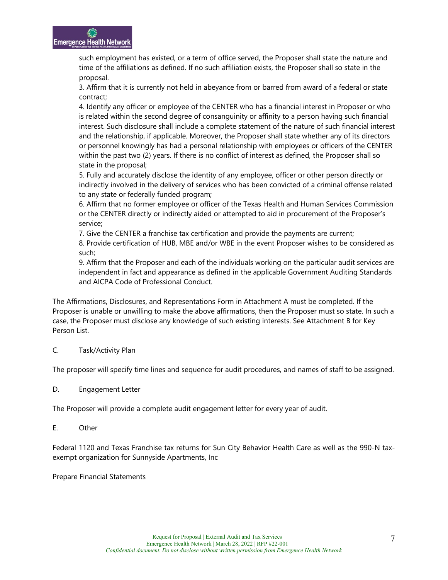such employment has existed, or a term of office served, the Proposer shall state the nature and time of the affiliations as defined. If no such affiliation exists, the Proposer shall so state in the proposal.

3. Affirm that it is currently not held in abeyance from or barred from award of a federal or state contract;

4. Identify any officer or employee of the CENTER who has a financial interest in Proposer or who is related within the second degree of consanguinity or affinity to a person having such financial interest. Such disclosure shall include a complete statement of the nature of such financial interest and the relationship, if applicable. Moreover, the Proposer shall state whether any of its directors or personnel knowingly has had a personal relationship with employees or officers of the CENTER within the past two (2) years. If there is no conflict of interest as defined, the Proposer shall so state in the proposal;

5. Fully and accurately disclose the identity of any employee, officer or other person directly or indirectly involved in the delivery of services who has been convicted of a criminal offense related to any state or federally funded program;

6. Affirm that no former employee or officer of the Texas Health and Human Services Commission or the CENTER directly or indirectly aided or attempted to aid in procurement of the Proposer's service;

7. Give the CENTER a franchise tax certification and provide the payments are current;

8. Provide certification of HUB, MBE and/or WBE in the event Proposer wishes to be considered as such;

9. Affirm that the Proposer and each of the individuals working on the particular audit services are independent in fact and appearance as defined in the applicable Government Auditing Standards and AICPA Code of Professional Conduct.

The Affirmations, Disclosures, and Representations Form in Attachment A must be completed. If the Proposer is unable or unwilling to make the above affirmations, then the Proposer must so state. In such a case, the Proposer must disclose any knowledge of such existing interests. See Attachment B for Key Person List.

## C. Task/Activity Plan

The proposer will specify time lines and sequence for audit procedures, and names of staff to be assigned.

D. Engagement Letter

The Proposer will provide a complete audit engagement letter for every year of audit.

E. Other

Federal 1120 and Texas Franchise tax returns for Sun City Behavior Health Care as well as the 990-N taxexempt organization for Sunnyside Apartments, Inc

Prepare Financial Statements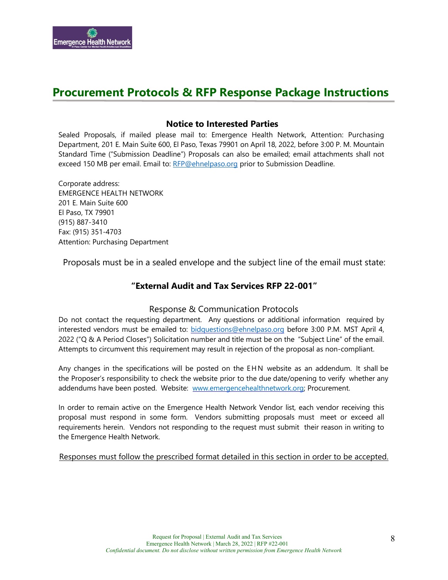

## **Procurement Protocols & RFP Response Package Instructions**

## **Notice to Interested Parties**

Sealed Proposals, if mailed please mail to: Emergence Health Network, Attention: Purchasing Department, 201 E. Main Suite 600, El Paso, Texas 79901 on April 18, 2022, before 3:00 P. M. Mountain Standard Time ("Submission Deadline") Proposals can also be emailed; email attachments shall not exceed 150 MB per email. Email to: [RFP@ehnelpaso.org](mailto:RFP@ehnelpaso.org) prior to Submission Deadline.

Corporate address: EMERGENCE HEALTH NETWORK 201 E. Main Suite 600 El Paso, TX 79901 (915) 887-3410 Fax: (915) 351-4703 Attention: Purchasing Department

Proposals must be in a sealed envelope and the subject line of the email must state:

## **"External Audit and Tax Services RFP 22-001"**

#### Response & Communication Protocols

Do not contact the requesting department. Any questions or additional information required by interested vendors must be emailed to: [bidquestions@ehnelpaso.org](mailto:bidquestions@ehnelpaso.com) before 3:00 P.M. MST April 4, 2022 ("Q & A Period Closes") Solicitation number and title must be on the "Subject Line" of the email. Attempts to circumvent this requirement may result in rejection of the proposal as non-compliant.

Any changes in the specifications will be posted on the EHN website as an addendum. It shall be the Proposer's responsibility to check the website prior to the due date/opening to verify whether any addendums have been posted. Website: [www.emergencehealthnetwork.org;](http://www.emergencehealthnetwork.org/) Procurement.

In order to remain active on the Emergence Health Network Vendor list, each vendor receiving this proposal must respond in some form. Vendors submitting proposals must meet or exceed all requirements herein. Vendors not responding to the request must submit their reason in writing to the Emergence Health Network.

Responses must follow the prescribed format detailed in this section in order to be accepted.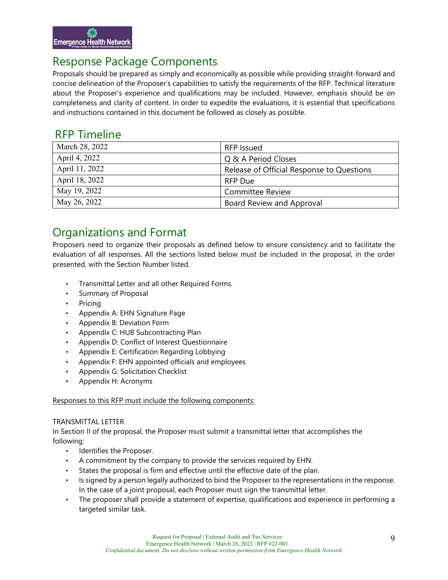

## Response Package Components

Proposals should be prepared as simply and economically as possible while providing straight-forward and concise delineation of the Proposer's capabilities to satisfy the requirements of the RFP. Technical literature about the Proposer's experience and qualifications may be included. However, emphasis should be on completeness and clarity of content. In order to expedite the evaluations, it is essential that specifications and instructions contained in this document be followed as closely as possible.

## RFP Timeline

| March 28, 2022 | RFP Issued                                |
|----------------|-------------------------------------------|
| April 4, 2022  | Q & A Period Closes                       |
| April 11, 2022 | Release of Official Response to Questions |
| April 18, 2022 | <b>RFP Due</b>                            |
| May 19, 2022   | <b>Committee Review</b>                   |
| May 26, 2022   | Board Review and Approval                 |

## Organizations and Format

Proposers need to organize their proposals as defined below to ensure consistency and to facilitate the evaluation of all responses. All the sections listed below must be included in the proposal, in the order presented, with the Section Number listed.

- Transmittal Letter and all other Required Forms.
- Summary of Proposal
- Pricing
- Appendix A: EHN Signature Page
- Appendix B: Deviation Form
- Appendix C: HUB Subcontracting Plan
- Appendix D: Conflict of Interest Questionnaire
- Appendix E: Certification Regarding Lobbying
- Appendix F: EHN appointed officials and employees
- Appendix G: Solicitation Checklist
- Appendix H: Acronyms

#### Responses to this RFP must include the following components:

#### TRANSMITTAL LETTER

In Section II of the proposal, the Proposer must submit a transmittal letter that accomplishes the following:

- Identifies the Proposer.
- A commitment by the company to provide the services required by EHN.
- States the proposal is firm and effective until the effective date of the plan.
- Is signed by a person legally authorized to bind the Proposer to the representations in the response. In the case of a joint proposal, each Proposer must sign the transmittal letter.
- The proposer shall provide a statement of expertise, qualifications and experience in performing a targeted similar task.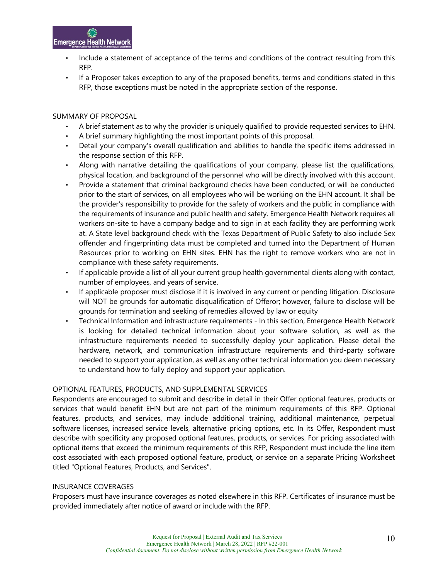

- Include a statement of acceptance of the terms and conditions of the contract resulting from this RFP.
- If a Proposer takes exception to any of the proposed benefits, terms and conditions stated in this RFP, those exceptions must be noted in the appropriate section of the response.

#### SUMMARY OF PROPOSAL

- A brief statement as to why the provider is uniquely qualified to provide requested services to EHN.
- A brief summary highlighting the most important points of this proposal.
- Detail your company's overall qualification and abilities to handle the specific items addressed in the response section of this RFP.
- Along with narrative detailing the qualifications of your company, please list the qualifications, physical location, and background of the personnel who will be directly involved with this account.
- Provide a statement that criminal background checks have been conducted, or will be conducted prior to the start of services, on all employees who will be working on the EHN account. It shall be the provider's responsibility to provide for the safety of workers and the public in compliance with the requirements of insurance and public health and safety. Emergence Health Network requires all workers on-site to have a company badge and to sign in at each facility they are performing work at. A State level background check with the Texas Department of Public Safety to also include Sex offender and fingerprinting data must be completed and turned into the Department of Human Resources prior to working on EHN sites. EHN has the right to remove workers who are not in compliance with these safety requirements.
- If applicable provide a list of all your current group health governmental clients along with contact, number of employees, and years of service.
- If applicable proposer must disclose if it is involved in any current or pending litigation. Disclosure will NOT be grounds for automatic disqualification of Offeror; however, failure to disclose will be grounds for termination and seeking of remedies allowed by law or equity
- Technical Information and infrastructure requirements In this section, Emergence Health Network is looking for detailed technical information about your software solution, as well as the infrastructure requirements needed to successfully deploy your application. Please detail the hardware, network, and communication infrastructure requirements and third-party software needed to support your application, as well as any other technical information you deem necessary to understand how to fully deploy and support your application.

#### OPTIONAL FEATURES, PRODUCTS, AND SUPPLEMENTAL SERVICES

Respondents are encouraged to submit and describe in detail in their Offer optional features, products or services that would benefit EHN but are not part of the minimum requirements of this RFP. Optional features, products, and services, may include additional training, additional maintenance, perpetual software licenses, increased service levels, alternative pricing options, etc. In its Offer, Respondent must describe with specificity any proposed optional features, products, or services. For pricing associated with optional items that exceed the minimum requirements of this RFP, Respondent must include the line item cost associated with each proposed optional feature, product, or service on a separate Pricing Worksheet titled "Optional Features, Products, and Services".

#### INSURANCE COVERAGES

Proposers must have insurance coverages as noted elsewhere in this RFP. Certificates of insurance must be provided immediately after notice of award or include with the RFP.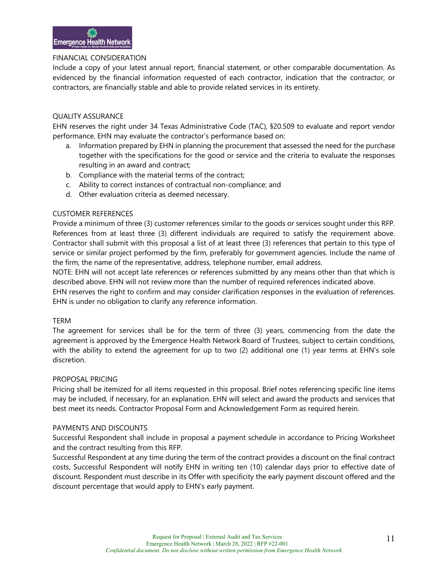#### FINANCIAL CONSIDERATION

Include a copy of your latest annual report, financial statement, or other comparable documentation. As evidenced by the financial information requested of each contractor, indication that the contractor, or contractors, are financially stable and able to provide related services in its entirety.

#### QUALITY ASSURANCE

EHN reserves the right under 34 Texas Administrative Code (TAC), §20.509 to evaluate and report vendor performance. EHN may evaluate the contractor's performance based on:

- a. Information prepared by EHN in planning the procurement that assessed the need for the purchase together with the specifications for the good or service and the criteria to evaluate the responses resulting in an award and contract;
- b. Compliance with the material terms of the contract;
- c. Ability to correct instances of contractual non-compliance; and
- d. Other evaluation criteria as deemed necessary.

#### CUSTOMER REFERENCES

Provide a minimum of three (3) customer references similar to the goods or services sought under this RFP. References from at least three (3) different individuals are required to satisfy the requirement above. Contractor shall submit with this proposal a list of at least three (3) references that pertain to this type of service or similar project performed by the firm, preferably for government agencies. Include the name of the firm, the name of the representative, address, telephone number, email address.

NOTE: EHN will not accept late references or references submitted by any means other than that which is described above. EHN will not review more than the number of required references indicated above.

EHN reserves the right to confirm and may consider clarification responses in the evaluation of references. EHN is under no obligation to clarify any reference information.

#### TERM

The agreement for services shall be for the term of three (3) years, commencing from the date the agreement is approved by the Emergence Health Network Board of Trustees, subject to certain conditions, with the ability to extend the agreement for up to two (2) additional one (1) year terms at EHN's sole discretion.

#### PROPOSAL PRICING

Pricing shall be itemized for all items requested in this proposal. Brief notes referencing specific line items may be included, if necessary, for an explanation. EHN will select and award the products and services that best meet its needs. Contractor Proposal Form and Acknowledgement Form as required herein.

#### PAYMENTS AND DISCOUNTS

Successful Respondent shall include in proposal a payment schedule in accordance to Pricing Worksheet and the contract resulting from this RFP.

Successful Respondent at any time during the term of the contract provides a discount on the final contract costs, Successful Respondent will notify EHN in writing ten (10) calendar days prior to effective date of discount. Respondent must describe in its Offer with specificity the early payment discount offered and the discount percentage that would apply to EHN's early payment.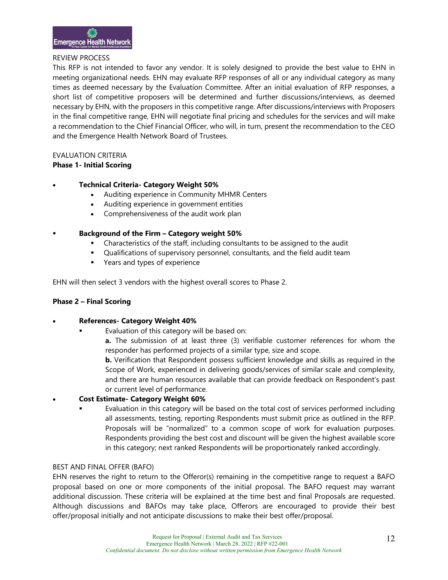#### REVIEW PROCESS

This RFP is not intended to favor any vendor. It is solely designed to provide the best value to EHN in meeting organizational needs. EHN may evaluate RFP responses of all or any individual category as many times as deemed necessary by the Evaluation Committee. After an initial evaluation of RFP responses, a short list of competitive proposers will be determined and further discussions/interviews, as deemed necessary by EHN, with the proposers in this competitive range. After discussions/interviews with Proposers in the final competitive range, EHN will negotiate final pricing and schedules for the services and will make a recommendation to the Chief Financial Officer, who will, in turn, present the recommendation to the CEO and the Emergence Health Network Board of Trustees.

#### EVALUATION CRITERIA

**Phase 1- Initial Scoring**

## • **Technical Criteria- Category Weight 50%**

- Auditing experience in Community MHMR Centers
- Auditing experience in government entities
- Comprehensiveness of the audit work plan
- **Background of the Firm Category weight 50%**
	- Characteristics of the staff, including consultants to be assigned to the audit
	- Qualifications of supervisory personnel, consultants, and the field audit team
	- Years and types of experience

EHN will then select 3 vendors with the highest overall scores to Phase 2.

#### **Phase 2 – Final Scoring**

#### • **References- Category Weight 40%**

Evaluation of this category will be based on:

**a.** The submission of at least three (3) verifiable customer references for whom the responder has performed projects of a similar type, size and scope.

**b.** Verification that Respondent possess sufficient knowledge and skills as required in the Scope of Work, experienced in delivering goods/services of similar scale and complexity, and there are human resources available that can provide feedback on Respondent's past or current level of performance.

#### • **Cost Estimate- Category Weight 60%**

 Evaluation in this category will be based on the total cost of services performed including all assessments, testing, reporting Respondents must submit price as outlined in the RFP. Proposals will be "normalized" to a common scope of work for evaluation purposes. Respondents providing the best cost and discount will be given the highest available score in this category; next ranked Respondents will be proportionately ranked accordingly.

#### BEST AND FINAL OFFER (BAFO)

EHN reserves the right to return to the Offeror(s) remaining in the competitive range to request a BAFO proposal based on one or more components of the initial proposal. The BAFO request may warrant additional discussion. These criteria will be explained at the time best and final Proposals are requested. Although discussions and BAFOs may take place, Offerors are encouraged to provide their best offer/proposal initially and not anticipate discussions to make their best offer/proposal.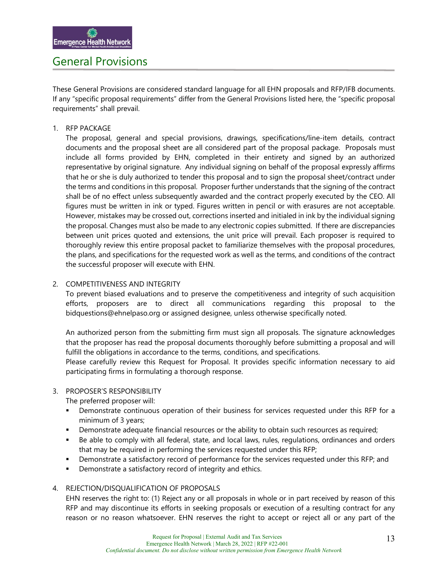## General Provisions

These General Provisions are considered standard language for all EHN proposals and RFP/IFB documents. If any "specific proposal requirements" differ from the General Provisions listed here, the "specific proposal requirements" shall prevail.

#### 1. RFP PACKAGE

The proposal, general and special provisions, drawings, specifications/line-item details, contract documents and the proposal sheet are all considered part of the proposal package. Proposals must include all forms provided by EHN, completed in their entirety and signed by an authorized representative by original signature. Any individual signing on behalf of the proposal expressly affirms that he or she is duly authorized to tender this proposal and to sign the proposal sheet/contract under the terms and conditions in this proposal. Proposer further understands that the signing of the contract shall be of no effect unless subsequently awarded and the contract properly executed by the CEO. All figures must be written in ink or typed. Figures written in pencil or with erasures are not acceptable. However, mistakes may be crossed out, corrections inserted and initialed in ink by the individual signing the proposal. Changes must also be made to any electronic copies submitted. If there are discrepancies between unit prices quoted and extensions, the unit price will prevail. Each proposer is required to thoroughly review this entire proposal packet to familiarize themselves with the proposal procedures, the plans, and specifications for the requested work as well as the terms, and conditions of the contract the successful proposer will execute with EHN.

#### 2. COMPETITIVENESS AND INTEGRITY

To prevent biased evaluations and to preserve the competitiveness and integrity of such acquisition efforts, proposers are to direct all communications regarding this proposal to the bidquestions@ehnelpaso.org or assigned designee, unless otherwise specifically noted.

An authorized person from the submitting firm must sign all proposals. The signature acknowledges that the proposer has read the proposal documents thoroughly before submitting a proposal and will fulfill the obligations in accordance to the terms, conditions, and specifications.

Please carefully review this Request for Proposal. It provides specific information necessary to aid participating firms in formulating a thorough response.

#### 3. PROPOSER'S RESPONSIBILITY

The preferred proposer will:

- Demonstrate continuous operation of their business for services requested under this RFP for a minimum of 3 years;
- **Demonstrate adequate financial resources or the ability to obtain such resources as required;**
- Be able to comply with all federal, state, and local laws, rules, regulations, ordinances and orders that may be required in performing the services requested under this RFP;
- Demonstrate a satisfactory record of performance for the services requested under this RFP; and
- **•** Demonstrate a satisfactory record of integrity and ethics.

#### 4. REJECTION/DISQUALIFICATION OF PROPOSALS

EHN reserves the right to: (1) Reject any or all proposals in whole or in part received by reason of this RFP and may discontinue its efforts in seeking proposals or execution of a resulting contract for any reason or no reason whatsoever. EHN reserves the right to accept or reject all or any part of the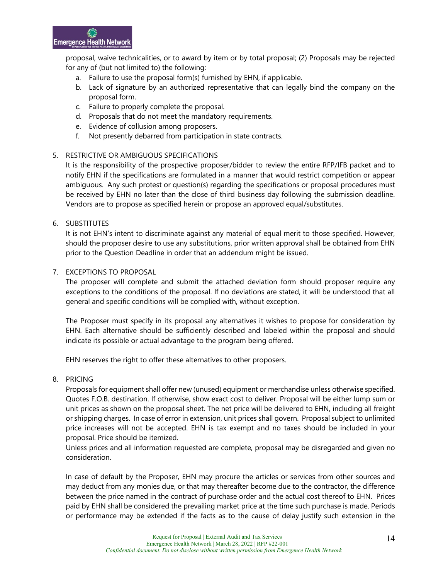proposal, waive technicalities, or to award by item or by total proposal; (2) Proposals may be rejected for any of (but not limited to) the following:

- a. Failure to use the proposal form(s) furnished by EHN, if applicable.
- b. Lack of signature by an authorized representative that can legally bind the company on the proposal form.
- c. Failure to properly complete the proposal.
- d. Proposals that do not meet the mandatory requirements.
- e. Evidence of collusion among proposers.
- f. Not presently debarred from participation in state contracts.

## 5. RESTRICTIVE OR AMBIGUOUS SPECIFICATIONS

It is the responsibility of the prospective proposer/bidder to review the entire RFP/IFB packet and to notify EHN if the specifications are formulated in a manner that would restrict competition or appear ambiguous. Any such protest or question(s) regarding the specifications or proposal procedures must be received by EHN no later than the close of third business day following the submission deadline. Vendors are to propose as specified herein or propose an approved equal/substitutes.

#### 6. SUBSTITUTES

It is not EHN's intent to discriminate against any material of equal merit to those specified. However, should the proposer desire to use any substitutions, prior written approval shall be obtained from EHN prior to the Question Deadline in order that an addendum might be issued.

#### 7. EXCEPTIONS TO PROPOSAL

The proposer will complete and submit the attached deviation form should proposer require any exceptions to the conditions of the proposal. If no deviations are stated, it will be understood that all general and specific conditions will be complied with, without exception.

The Proposer must specify in its proposal any alternatives it wishes to propose for consideration by EHN. Each alternative should be sufficiently described and labeled within the proposal and should indicate its possible or actual advantage to the program being offered.

EHN reserves the right to offer these alternatives to other proposers.

#### 8. PRICING

Proposals for equipment shall offer new (unused) equipment or merchandise unless otherwise specified. Quotes F.O.B. destination. If otherwise, show exact cost to deliver. Proposal will be either lump sum or unit prices as shown on the proposal sheet. The net price will be delivered to EHN, including all freight or shipping charges. In case of error in extension, unit prices shall govern. Proposal subject to unlimited price increases will not be accepted. EHN is tax exempt and no taxes should be included in your proposal. Price should be itemized.

Unless prices and all information requested are complete, proposal may be disregarded and given no consideration.

In case of default by the Proposer, EHN may procure the articles or services from other sources and may deduct from any monies due, or that may thereafter become due to the contractor, the difference between the price named in the contract of purchase order and the actual cost thereof to EHN. Prices paid by EHN shall be considered the prevailing market price at the time such purchase is made. Periods or performance may be extended if the facts as to the cause of delay justify such extension in the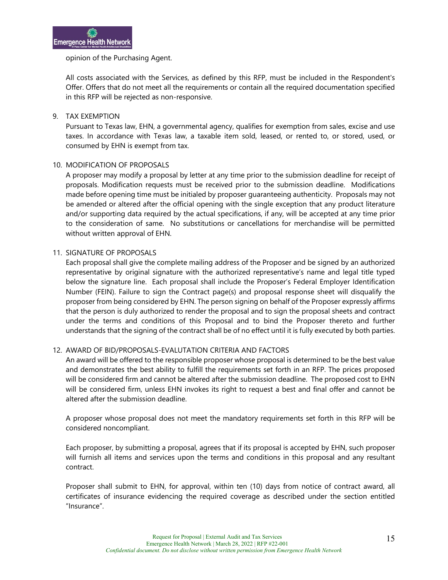#### opinion of the Purchasing Agent.

All costs associated with the Services, as defined by this RFP, must be included in the Respondent's Offer. Offers that do not meet all the requirements or contain all the required documentation specified in this RFP will be rejected as non-responsive.

#### 9. TAX EXEMPTION

Pursuant to Texas law, EHN, a governmental agency, qualifies for exemption from sales, excise and use taxes. In accordance with Texas law, a taxable item sold, leased, or rented to, or stored, used, or consumed by EHN is exempt from tax.

#### 10. MODIFICATION OF PROPOSALS

A proposer may modify a proposal by letter at any time prior to the submission deadline for receipt of proposals. Modification requests must be received prior to the submission deadline. Modifications made before opening time must be initialed by proposer guaranteeing authenticity. Proposals may not be amended or altered after the official opening with the single exception that any product literature and/or supporting data required by the actual specifications, if any, will be accepted at any time prior to the consideration of same. No substitutions or cancellations for merchandise will be permitted without written approval of EHN.

#### 11. SIGNATURE OF PROPOSALS

Each proposal shall give the complete mailing address of the Proposer and be signed by an authorized representative by original signature with the authorized representative's name and legal title typed below the signature line. Each proposal shall include the Proposer's Federal Employer Identification Number (FEIN). Failure to sign the Contract page(s) and proposal response sheet will disqualify the proposer from being considered by EHN. The person signing on behalf of the Proposer expressly affirms that the person is duly authorized to render the proposal and to sign the proposal sheets and contract under the terms and conditions of this Proposal and to bind the Proposer thereto and further understands that the signing of the contract shall be of no effect until it is fully executed by both parties.

#### 12. AWARD OF BID/PROPOSALS-EVALUTATION CRITERIA AND FACTORS

An award will be offered to the responsible proposer whose proposal is determined to be the best value and demonstrates the best ability to fulfill the requirements set forth in an RFP. The prices proposed will be considered firm and cannot be altered after the submission deadline. The proposed cost to EHN will be considered firm, unless EHN invokes its right to request a best and final offer and cannot be altered after the submission deadline.

A proposer whose proposal does not meet the mandatory requirements set forth in this RFP will be considered noncompliant.

Each proposer, by submitting a proposal, agrees that if its proposal is accepted by EHN, such proposer will furnish all items and services upon the terms and conditions in this proposal and any resultant contract.

Proposer shall submit to EHN, for approval, within ten (10) days from notice of contract award, all certificates of insurance evidencing the required coverage as described under the section entitled "Insurance".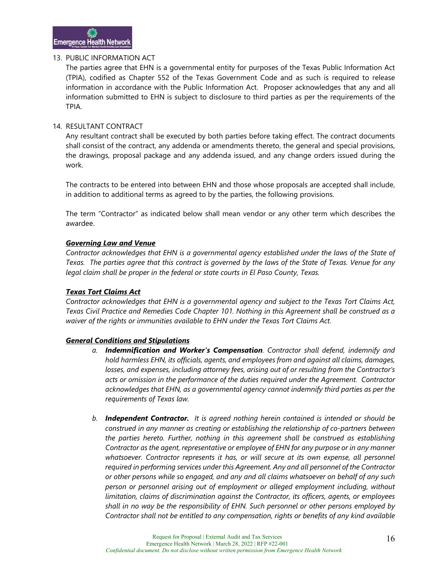#### 13. PUBLIC INFORMATION ACT

The parties agree that EHN is a governmental entity for purposes of the Texas Public Information Act (TPIA), codified as Chapter 552 of the Texas Government Code and as such is required to release information in accordance with the Public Information Act. Proposer acknowledges that any and all information submitted to EHN is subject to disclosure to third parties as per the requirements of the TPIA.

#### 14. RESULTANT CONTRACT

Any resultant contract shall be executed by both parties before taking effect. The contract documents shall consist of the contract, any addenda or amendments thereto, the general and special provisions, the drawings, proposal package and any addenda issued, and any change orders issued during the work.

The contracts to be entered into between EHN and those whose proposals are accepted shall include, in addition to additional terms as agreed to by the parties, the following provisions.

The term "Contractor" as indicated below shall mean vendor or any other term which describes the awardee.

#### *Governing Law and Venue*

*Contractor acknowledges that EHN is a governmental agency established under the laws of the State of Texas. The parties agree that this contract is governed by the laws of the State of Texas. Venue for any legal claim shall be proper in the federal or state courts in El Paso County, Texas.*

#### *Texas Tort Claims Act*

*Contractor acknowledges that EHN is a governmental agency and subject to the Texas Tort Claims Act, Texas Civil Practice and Remedies Code Chapter 101. Nothing in this Agreement shall be construed as a waiver of the rights or immunities available to EHN under the Texas Tort Claims Act.* 

#### *General Conditions and Stipulations*

- *a. Indemnification and Worker's Compensation. Contractor shall defend, indemnify and hold harmless EHN, its officials, agents, and employees from and against all claims, damages, losses, and expenses, including attorney fees, arising out of or resulting from the Contractor's acts or omission in the performance of the duties required under the Agreement. Contractor acknowledges that EHN, as a governmental agency cannot indemnify third parties as per the requirements of Texas law.*
- *b. Independent Contractor. It is agreed nothing herein contained is intended or should be construed in any manner as creating or establishing the relationship of co-partners between the parties hereto. Further, nothing in this agreement shall be construed as establishing Contractor as the agent, representative or employee of EHN for any purpose or in any manner*  whatsoever. Contractor represents it has, or will secure at its own expense, all personnel *required in performing services under this Agreement. Any and all personnel of the Contractor or other persons while so engaged, and any and all claims whatsoever on behalf of any such person or personnel arising out of employment or alleged employment including, without limitation, claims of discrimination against the Contractor, its officers, agents, or employees shall in no way be the responsibility of EHN. Such personnel or other persons employed by Contractor shall not be entitled to any compensation, rights or benefits of any kind available*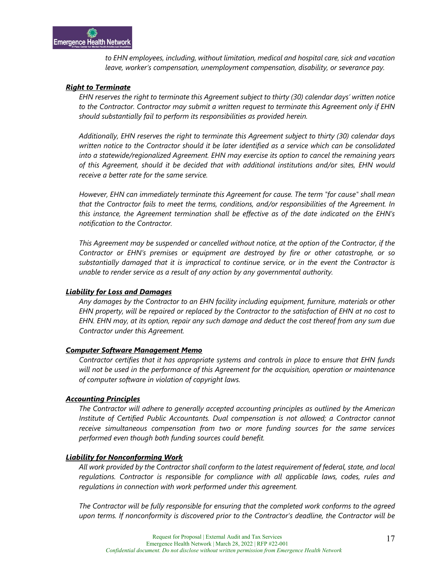*to EHN employees, including, without limitation, medical and hospital care, sick and vacation leave, worker's compensation, unemployment compensation, disability, or severance pay.* 

#### *Right to Terminate*

*EHN reserves the right to terminate this Agreement subject to thirty (30) calendar days' written notice to the Contractor. Contractor may submit a written request to terminate this Agreement only if EHN should substantially fail to perform its responsibilities as provided herein.*

*Additionally, EHN reserves the right to terminate this Agreement subject to thirty (30) calendar days written notice to the Contractor should it be later identified as a service which can be consolidated into a statewide/regionalized Agreement. EHN may exercise its option to cancel the remaining years of this Agreement, should it be decided that with additional institutions and/or sites, EHN would receive a better rate for the same service.*

*However, EHN can immediately terminate this Agreement for cause. The term "for cause" shall mean that the Contractor fails to meet the terms, conditions, and/or responsibilities of the Agreement. In this instance, the Agreement termination shall be effective as of the date indicated on the EHN's notification to the Contractor.*

*This Agreement may be suspended or cancelled without notice, at the option of the Contractor, if the Contractor or EHN's premises or equipment are destroyed by fire or other catastrophe, or so substantially damaged that it is impractical to continue service, or in the event the Contractor is unable to render service as a result of any action by any governmental authority.*

#### *Liability for Loss and Damages*

*Any damages by the Contractor to an EHN facility including equipment, furniture, materials or other EHN property, will be repaired or replaced by the Contractor to the satisfaction of EHN at no cost to EHN. EHN may, at its option, repair any such damage and deduct the cost thereof from any sum due Contractor under this Agreement.*

#### *Computer Software Management Memo*

*Contractor certifies that it has appropriate systems and controls in place to ensure that EHN funds will not be used in the performance of this Agreement for the acquisition, operation or maintenance of computer software in violation of copyright laws.* 

#### *Accounting Principles*

*The Contractor will adhere to generally accepted accounting principles as outlined by the American Institute of Certified Public Accountants. Dual compensation is not allowed; a Contractor cannot receive simultaneous compensation from two or more funding sources for the same services performed even though both funding sources could benefit.*

#### *Liability for Nonconforming Work*

*All work provided by the Contractor shall conform to the latest requirement of federal, state, and local regulations. Contractor is responsible for compliance with all applicable laws, codes, rules and regulations in connection with work performed under this agreement.*

*The Contractor will be fully responsible for ensuring that the completed work conforms to the agreed upon terms. If nonconformity is discovered prior to the Contractor's deadline, the Contractor will be*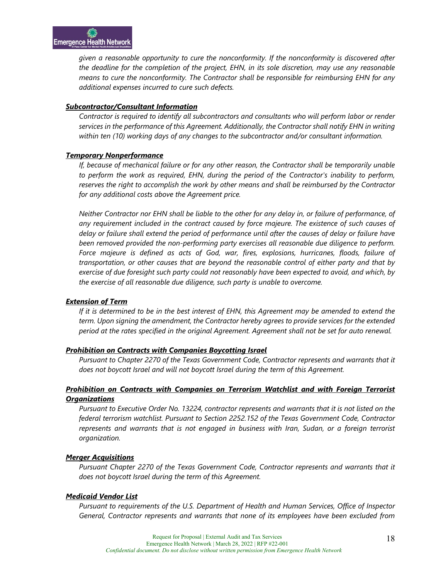*given a reasonable opportunity to cure the nonconformity. If the nonconformity is discovered after the deadline for the completion of the project, EHN, in its sole discretion, may use any reasonable means to cure the nonconformity. The Contractor shall be responsible for reimbursing EHN for any additional expenses incurred to cure such defects.*

#### *Subcontractor/Consultant Information*

*Contractor is required to identify all subcontractors and consultants who will perform labor or render services in the performance of this Agreement. Additionally, the Contractor shall notify EHN in writing within ten (10) working days of any changes to the subcontractor and/or consultant information.*

#### *Temporary Nonperformance*

*If, because of mechanical failure or for any other reason, the Contractor shall be temporarily unable to perform the work as required, EHN, during the period of the Contractor's inability to perform, reserves the right to accomplish the work by other means and shall be reimbursed by the Contractor for any additional costs above the Agreement price.*

*Neither Contractor nor EHN shall be liable to the other for any delay in, or failure of performance, of any requirement included in the contract caused by force majeure. The existence of such causes of delay or failure shall extend the period of performance until after the causes of delay or failure have been removed provided the non-performing party exercises all reasonable due diligence to perform. Force majeure is defined as acts of God, war, fires, explosions, hurricanes, floods, failure of transportation, or other causes that are beyond the reasonable control of either party and that by exercise of due foresight such party could not reasonably have been expected to avoid, and which, by the exercise of all reasonable due diligence, such party is unable to overcome.*

#### *Extension of Term*

*If it is determined to be in the best interest of EHN, this Agreement may be amended to extend the term. Upon signing the amendment, the Contractor hereby agrees to provide services for the extended period at the rates specified in the original Agreement. Agreement shall not be set for auto renewal.*

#### *Prohibition on Contracts with Companies Boycotting Israel*

Pursuant to Chapter 2270 of the Texas Government Code, Contractor represents and warrants that it *does not boycott Israel and will not boycott Israel during the term of this Agreement.* 

#### *Prohibition on Contracts with Companies on Terrorism Watchlist and with Foreign Terrorist Organizations*

*Pursuant to Executive Order No. 13224, contractor represents and warrants that it is not listed on the federal terrorism watchlist. Pursuant to Section 2252.152 of the Texas Government Code, Contractor represents and warrants that is not engaged in business with Iran, Sudan, or a foreign terrorist organization.*

#### *Merger Acquisitions*

*Pursuant Chapter 2270 of the Texas Government Code, Contractor represents and warrants that it does not boycott Israel during the term of this Agreement.* 

#### *Medicaid Vendor List*

*Pursuant to requirements of the U.S. Department of Health and Human Services, Office of Inspector General, Contractor represents and warrants that none of its employees have been excluded from*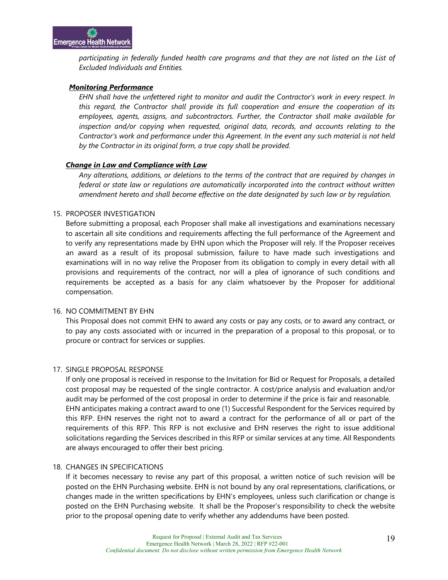*participating in federally funded health care programs and that they are not listed on the List of Excluded Individuals and Entities.* 

#### *Monitoring Performance*

*EHN shall have the unfettered right to monitor and audit the Contractor's work in every respect. In this regard, the Contractor shall provide its full cooperation and ensure the cooperation of its employees, agents, assigns, and subcontractors. Further, the Contractor shall make available for inspection and/or copying when requested, original data, records, and accounts relating to the Contractor's work and performance under this Agreement. In the event any such material is not held by the Contractor in its original form, a true copy shall be provided.* 

#### *Change in Law and Compliance with Law*

*Any alterations, additions, or deletions to the terms of the contract that are required by changes in federal or state law or regulations are automatically incorporated into the contract without written amendment hereto and shall become effective on the date designated by such law or by regulation.*

#### 15. PROPOSER INVESTIGATION

Before submitting a proposal, each Proposer shall make all investigations and examinations necessary to ascertain all site conditions and requirements affecting the full performance of the Agreement and to verify any representations made by EHN upon which the Proposer will rely. If the Proposer receives an award as a result of its proposal submission, failure to have made such investigations and examinations will in no way relive the Proposer from its obligation to comply in every detail with all provisions and requirements of the contract, nor will a plea of ignorance of such conditions and requirements be accepted as a basis for any claim whatsoever by the Proposer for additional compensation.

#### 16. NO COMMITMENT BY EHN

This Proposal does not commit EHN to award any costs or pay any costs, or to award any contract, or to pay any costs associated with or incurred in the preparation of a proposal to this proposal, or to procure or contract for services or supplies.

#### 17. SINGLE PROPOSAL RESPONSE

If only one proposal is received in response to the Invitation for Bid or Request for Proposals, a detailed cost proposal may be requested of the single contractor. A cost/price analysis and evaluation and/or audit may be performed of the cost proposal in order to determine if the price is fair and reasonable. EHN anticipates making a contract award to one (1) Successful Respondent for the Services required by this RFP. EHN reserves the right not to award a contract for the performance of all or part of the requirements of this RFP. This RFP is not exclusive and EHN reserves the right to issue additional solicitations regarding the Services described in this RFP or similar services at any time. All Respondents are always encouraged to offer their best pricing.

#### 18. CHANGES IN SPECIFICATIONS

If it becomes necessary to revise any part of this proposal, a written notice of such revision will be posted on the EHN Purchasing website. EHN is not bound by any oral representations, clarifications, or changes made in the written specifications by EHN's employees, unless such clarification or change is posted on the EHN Purchasing website. It shall be the Proposer's responsibility to check the website prior to the proposal opening date to verify whether any addendums have been posted.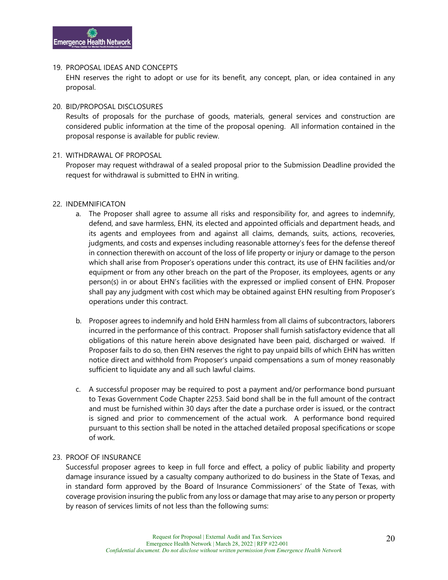#### 19. PROPOSAL IDEAS AND CONCEPTS

EHN reserves the right to adopt or use for its benefit, any concept, plan, or idea contained in any proposal.

#### 20. BID/PROPOSAL DISCLOSURES

Results of proposals for the purchase of goods, materials, general services and construction are considered public information at the time of the proposal opening. All information contained in the proposal response is available for public review.

#### 21. WITHDRAWAL OF PROPOSAL

Proposer may request withdrawal of a sealed proposal prior to the Submission Deadline provided the request for withdrawal is submitted to EHN in writing.

#### 22. INDEMNIFICATON

- a. The Proposer shall agree to assume all risks and responsibility for, and agrees to indemnify, defend, and save harmless, EHN, its elected and appointed officials and department heads, and its agents and employees from and against all claims, demands, suits, actions, recoveries, judgments, and costs and expenses including reasonable attorney's fees for the defense thereof in connection therewith on account of the loss of life property or injury or damage to the person which shall arise from Proposer's operations under this contract, its use of EHN facilities and/or equipment or from any other breach on the part of the Proposer, its employees, agents or any person(s) in or about EHN's facilities with the expressed or implied consent of EHN. Proposer shall pay any judgment with cost which may be obtained against EHN resulting from Proposer's operations under this contract.
- b. Proposer agrees to indemnify and hold EHN harmless from all claims of subcontractors, laborers incurred in the performance of this contract. Proposer shall furnish satisfactory evidence that all obligations of this nature herein above designated have been paid, discharged or waived. If Proposer fails to do so, then EHN reserves the right to pay unpaid bills of which EHN has written notice direct and withhold from Proposer's unpaid compensations a sum of money reasonably sufficient to liquidate any and all such lawful claims.
- c. A successful proposer may be required to post a payment and/or performance bond pursuant to Texas Government Code Chapter 2253. Said bond shall be in the full amount of the contract and must be furnished within 30 days after the date a purchase order is issued, or the contract is signed and prior to commencement of the actual work. A performance bond required pursuant to this section shall be noted in the attached detailed proposal specifications or scope of work.

#### 23. PROOF OF INSURANCE

Successful proposer agrees to keep in full force and effect, a policy of public liability and property damage insurance issued by a casualty company authorized to do business in the State of Texas, and in standard form approved by the Board of Insurance Commissioners' of the State of Texas, with coverage provision insuring the public from any loss or damage that may arise to any person or property by reason of services limits of not less than the following sums: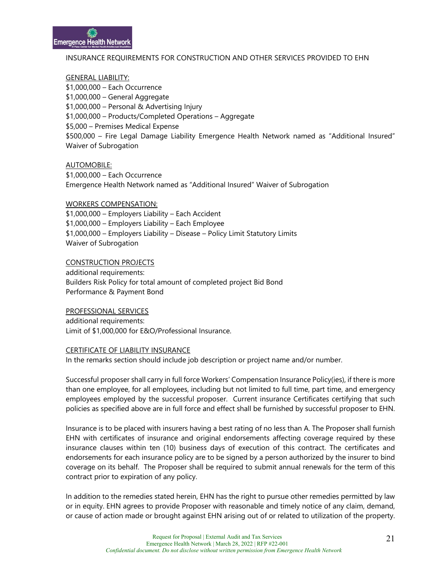#### INSURANCE REQUIREMENTS FOR CONSTRUCTION AND OTHER SERVICES PROVIDED TO EHN

#### GENERAL LIABILITY:

\$1,000,000 – Each Occurrence \$1,000,000 – General Aggregate \$1,000,000 – Personal & Advertising Injury \$1,000,000 – Products/Completed Operations – Aggregate \$5,000 – Premises Medical Expense \$500,000 – Fire Legal Damage Liability Emergence Health Network named as "Additional Insured" Waiver of Subrogation

#### AUTOMOBILE:

\$1,000,000 – Each Occurrence Emergence Health Network named as "Additional Insured" Waiver of Subrogation

#### WORKERS COMPENSATION:

\$1,000,000 – Employers Liability – Each Accident \$1,000,000 – Employers Liability – Each Employee \$1,000,000 – Employers Liability – Disease – Policy Limit Statutory Limits Waiver of Subrogation

### CONSTRUCTION PROJECTS

additional requirements: Builders Risk Policy for total amount of completed project Bid Bond Performance & Payment Bond

#### PROFESSIONAL SERVICES

additional requirements: Limit of \$1,000,000 for E&O/Professional Insurance.

#### CERTIFICATE OF LIABILITY INSURANCE

In the remarks section should include job description or project name and/or number.

Successful proposer shall carry in full force Workers' Compensation Insurance Policy(ies), if there is more than one employee, for all employees, including but not limited to full time, part time, and emergency employees employed by the successful proposer. Current insurance Certificates certifying that such policies as specified above are in full force and effect shall be furnished by successful proposer to EHN.

Insurance is to be placed with insurers having a best rating of no less than A. The Proposer shall furnish EHN with certificates of insurance and original endorsements affecting coverage required by these insurance clauses within ten (10) business days of execution of this contract. The certificates and endorsements for each insurance policy are to be signed by a person authorized by the insurer to bind coverage on its behalf. The Proposer shall be required to submit annual renewals for the term of this contract prior to expiration of any policy.

In addition to the remedies stated herein, EHN has the right to pursue other remedies permitted by law or in equity. EHN agrees to provide Proposer with reasonable and timely notice of any claim, demand, or cause of action made or brought against EHN arising out of or related to utilization of the property.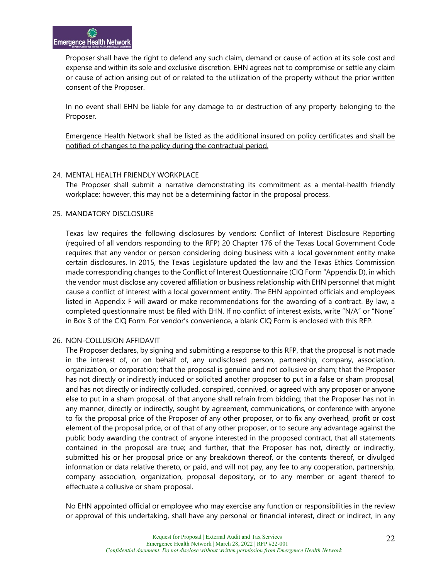Proposer shall have the right to defend any such claim, demand or cause of action at its sole cost and expense and within its sole and exclusive discretion. EHN agrees not to compromise or settle any claim or cause of action arising out of or related to the utilization of the property without the prior written consent of the Proposer.

In no event shall EHN be liable for any damage to or destruction of any property belonging to the Proposer.

Emergence Health Network shall be listed as the additional insured on policy certificates and shall be notified of changes to the policy during the contractual period.

#### 24. MENTAL HEALTH FRIENDLY WORKPLACE

The Proposer shall submit a narrative demonstrating its commitment as a mental-health friendly workplace; however, this may not be a determining factor in the proposal process.

#### 25. MANDATORY DISCLOSURE

Texas law requires the following disclosures by vendors: Conflict of Interest Disclosure Reporting (required of all vendors responding to the RFP) 20 Chapter 176 of the Texas Local Government Code requires that any vendor or person considering doing business with a local government entity make certain disclosures. In 2015, the Texas Legislature updated the law and the Texas Ethics Commission made corresponding changes to the Conflict of Interest Questionnaire (CIQ Form "Appendix D), in which the vendor must disclose any covered affiliation or business relationship with EHN personnel that might cause a conflict of interest with a local government entity. The EHN appointed officials and employees listed in Appendix F will award or make recommendations for the awarding of a contract. By law, a completed questionnaire must be filed with EHN. If no conflict of interest exists, write "N/A" or "None" in Box 3 of the CIQ Form. For vendor's convenience, a blank CIQ Form is enclosed with this RFP.

#### 26. NON-COLLUSION AFFIDAVIT

The Proposer declares, by signing and submitting a response to this RFP, that the proposal is not made in the interest of, or on behalf of, any undisclosed person, partnership, company, association, organization, or corporation; that the proposal is genuine and not collusive or sham; that the Proposer has not directly or indirectly induced or solicited another proposer to put in a false or sham proposal, and has not directly or indirectly colluded, conspired, connived, or agreed with any proposer or anyone else to put in a sham proposal, of that anyone shall refrain from bidding; that the Proposer has not in any manner, directly or indirectly, sought by agreement, communications, or conference with anyone to fix the proposal price of the Proposer of any other proposer, or to fix any overhead, profit or cost element of the proposal price, or of that of any other proposer, or to secure any advantage against the public body awarding the contract of anyone interested in the proposed contract, that all statements contained in the proposal are true; and further, that the Proposer has not, directly or indirectly, submitted his or her proposal price or any breakdown thereof, or the contents thereof, or divulged information or data relative thereto, or paid, and will not pay, any fee to any cooperation, partnership, company association, organization, proposal depository, or to any member or agent thereof to effectuate a collusive or sham proposal.

No EHN appointed official or employee who may exercise any function or responsibilities in the review or approval of this undertaking, shall have any personal or financial interest, direct or indirect, in any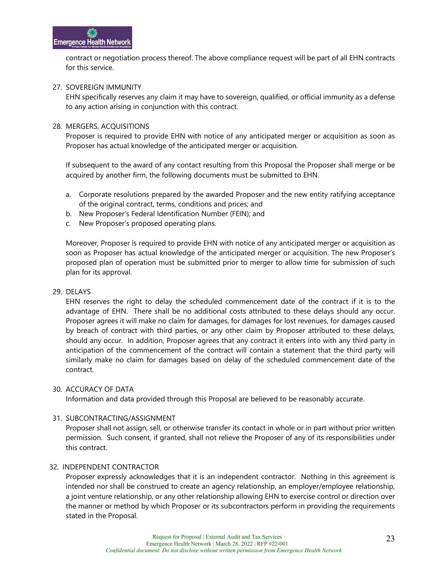contract or negotiation process thereof. The above compliance request will be part of all EHN contracts for this service.

#### 27. SOVEREIGN IMMUNITY

EHN specifically reserves any claim it may have to sovereign, qualified, or official immunity as a defense to any action arising in conjunction with this contract.

## 28. MERGERS, ACQUISITIONS

Proposer is required to provide EHN with notice of any anticipated merger or acquisition as soon as Proposer has actual knowledge of the anticipated merger or acquisition.

If subsequent to the award of any contact resulting from this Proposal the Proposer shall merge or be acquired by another firm, the following documents must be submitted to EHN.

- a. Corporate resolutions prepared by the awarded Proposer and the new entity ratifying acceptance of the original contract, terms, conditions and prices; and
- b. New Proposer's Federal Identification Number (FEIN); and
- c. New Proposer's proposed operating plans.

Moreover, Proposer is required to provide EHN with notice of any anticipated merger or acquisition as soon as Proposer has actual knowledge of the anticipated merger or acquisition. The new Proposer's proposed plan of operation must be submitted prior to merger to allow time for submission of such plan for its approval.

## 29. DELAYS

EHN reserves the right to delay the scheduled commencement date of the contract if it is to the advantage of EHN. There shall be no additional costs attributed to these delays should any occur. Proposer agrees it will make no claim for damages, for damages for lost revenues, for damages caused by breach of contract with third parties, or any other claim by Proposer attributed to these delays, should any occur. In addition, Proposer agrees that any contract it enters into with any third party in anticipation of the commencement of the contract will contain a statement that the third party will similarly make no claim for damages based on delay of the scheduled commencement date of the contract.

#### 30. ACCURACY OF DATA

Information and data provided through this Proposal are believed to be reasonably accurate.

## 31. SUBCONTRACTING/ASSIGNMENT

Proposer shall not assign, sell, or otherwise transfer its contact in whole or in part without prior written permission. Such consent, if granted, shall not relieve the Proposer of any of its responsibilities under this contract.

#### 32. INDEPENDENT CONTRACTOR

Proposer expressly acknowledges that it is an independent contractor. Nothing in this agreement is intended nor shall be construed to create an agency relationship, an employer/employee relationship, a joint venture relationship, or any other relationship allowing EHN to exercise control or direction over the manner or method by which Proposer or its subcontractors perform in providing the requirements stated in the Proposal.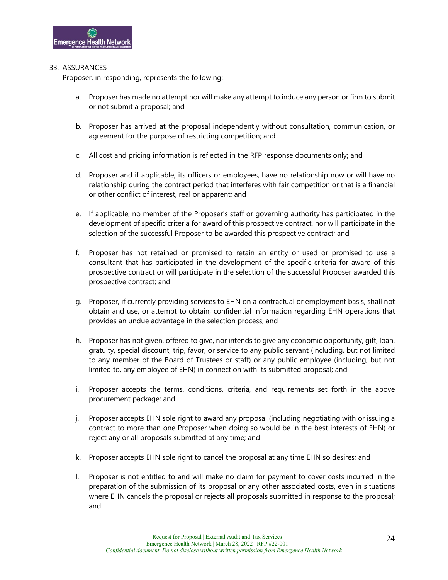#### 33. ASSURANCES

Proposer, in responding, represents the following:

- a. Proposer has made no attempt nor will make any attempt to induce any person or firm to submit or not submit a proposal; and
- b. Proposer has arrived at the proposal independently without consultation, communication, or agreement for the purpose of restricting competition; and
- c. All cost and pricing information is reflected in the RFP response documents only; and
- d. Proposer and if applicable, its officers or employees, have no relationship now or will have no relationship during the contract period that interferes with fair competition or that is a financial or other conflict of interest, real or apparent; and
- e. If applicable, no member of the Proposer's staff or governing authority has participated in the development of specific criteria for award of this prospective contract, nor will participate in the selection of the successful Proposer to be awarded this prospective contract; and
- f. Proposer has not retained or promised to retain an entity or used or promised to use a consultant that has participated in the development of the specific criteria for award of this prospective contract or will participate in the selection of the successful Proposer awarded this prospective contract; and
- g. Proposer, if currently providing services to EHN on a contractual or employment basis, shall not obtain and use, or attempt to obtain, confidential information regarding EHN operations that provides an undue advantage in the selection process; and
- h. Proposer has not given, offered to give, nor intends to give any economic opportunity, gift, loan, gratuity, special discount, trip, favor, or service to any public servant (including, but not limited to any member of the Board of Trustees or staff) or any public employee (including, but not limited to, any employee of EHN) in connection with its submitted proposal; and
- i. Proposer accepts the terms, conditions, criteria, and requirements set forth in the above procurement package; and
- j. Proposer accepts EHN sole right to award any proposal (including negotiating with or issuing a contract to more than one Proposer when doing so would be in the best interests of EHN) or reject any or all proposals submitted at any time; and
- k. Proposer accepts EHN sole right to cancel the proposal at any time EHN so desires; and
- l. Proposer is not entitled to and will make no claim for payment to cover costs incurred in the preparation of the submission of its proposal or any other associated costs, even in situations where EHN cancels the proposal or rejects all proposals submitted in response to the proposal; and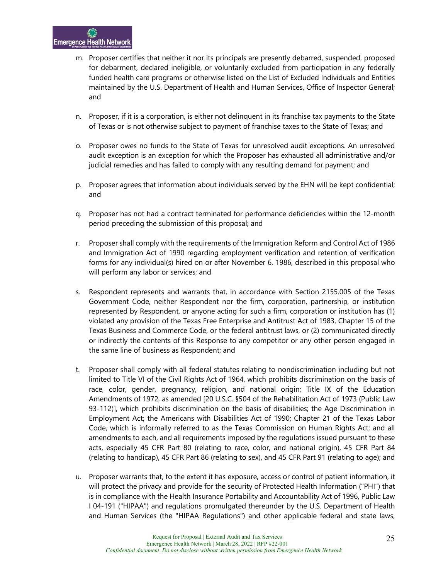- m. Proposer certifies that neither it nor its principals are presently debarred, suspended, proposed for debarment, declared ineligible, or voluntarily excluded from participation in any federally funded health care programs or otherwise listed on the List of Excluded Individuals and Entities maintained by the U.S. Department of Health and Human Services, Office of Inspector General; and
- n. Proposer, if it is a corporation, is either not delinquent in its franchise tax payments to the State of Texas or is not otherwise subject to payment of franchise taxes to the State of Texas; and
- o. Proposer owes no funds to the State of Texas for unresolved audit exceptions. An unresolved audit exception is an exception for which the Proposer has exhausted all administrative and/or judicial remedies and has failed to comply with any resulting demand for payment; and
- p. Proposer agrees that information about individuals served by the EHN will be kept confidential; and
- q. Proposer has not had a contract terminated for performance deficiencies within the 12-month period preceding the submission of this proposal; and
- r. Proposer shall comply with the requirements of the Immigration Reform and Control Act of 1986 and Immigration Act of 1990 regarding employment verification and retention of verification forms for any individual(s) hired on or after November 6, 1986, described in this proposal who will perform any labor or services; and
- s. Respondent represents and warrants that, in accordance with Section 2155.005 of the Texas Government Code, neither Respondent nor the firm, corporation, partnership, or institution represented by Respondent, or anyone acting for such a firm, corporation or institution has (1) violated any provision of the Texas Free Enterprise and Antitrust Act of 1983, Chapter 15 of the Texas Business and Commerce Code, or the federal antitrust laws, or (2) communicated directly or indirectly the contents of this Response to any competitor or any other person engaged in the same line of business as Respondent; and
- t. Proposer shall comply with all federal statutes relating to nondiscrimination including but not limited to Title VI of the Civil Rights Act of 1964, which prohibits discrimination on the basis of race, color, gender, pregnancy, religion, and national origin; Title IX of the Education Amendments of 1972, as amended [20 U.S.C. §504 of the Rehabilitation Act of 1973 (Public Law 93-112)], which prohibits discrimination on the basis of disabilities; the Age Discrimination in Employment Act; the Americans with Disabilities Act of 1990; Chapter 21 of the Texas Labor Code, which is informally referred to as the Texas Commission on Human Rights Act; and all amendments to each, and all requirements imposed by the regulations issued pursuant to these acts, especially 45 CFR Part 80 (relating to race, color, and national origin), 45 CFR Part 84 (relating to handicap), 45 CFR Part 86 (relating to sex), and 45 CFR Part 91 (relating to age); and
- u. Proposer warrants that, to the extent it has exposure, access or control of patient information, it will protect the privacy and provide for the security of Protected Health Information ("PHI") that is in compliance with the Health Insurance Portability and Accountability Act of 1996, Public Law I 04-191 ("HIPAA") and regulations promulgated thereunder by the U.S. Department of Health and Human Services (the "HIPAA Regulations") and other applicable federal and state laws,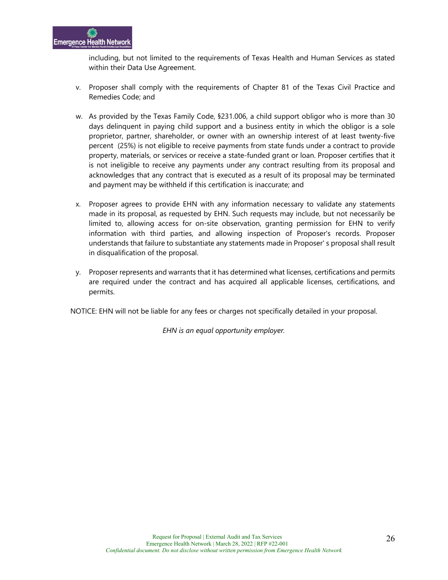including, but not limited to the requirements of Texas Health and Human Services as stated within their Data Use Agreement.

- v. Proposer shall comply with the requirements of Chapter 81 of the Texas Civil Practice and Remedies Code; and
- w. As provided by the Texas Family Code, §231.006, a child support obligor who is more than 30 days delinquent in paying child support and a business entity in which the obligor is a sole proprietor, partner, shareholder, or owner with an ownership interest of at least twenty-five percent (25%) is not eligible to receive payments from state funds under a contract to provide property, materials, or services or receive a state-funded grant or loan. Proposer certifies that it is not ineligible to receive any payments under any contract resulting from its proposal and acknowledges that any contract that is executed as a result of its proposal may be terminated and payment may be withheld if this certification is inaccurate; and
- x. Proposer agrees to provide EHN with any information necessary to validate any statements made in its proposal, as requested by EHN. Such requests may include, but not necessarily be limited to, allowing access for on-site observation, granting permission for EHN to verify information with third parties, and allowing inspection of Proposer's records. Proposer understands that failure to substantiate any statements made in Proposer' s proposal shall result in disqualification of the proposal.
- y. Proposer represents and warrants that it has determined what licenses, certifications and permits are required under the contract and has acquired all applicable licenses, certifications, and permits.

NOTICE: EHN will not be liable for any fees or charges not specifically detailed in your proposal.

*EHN is an equal opportunity employer.*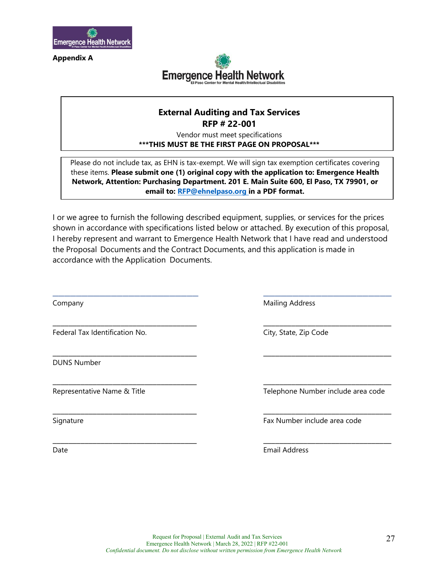

**Appendix A**



## **External Auditing and Tax Services RFP # 22-001**

Vendor must meet specifications **\*\*\*THIS MUST BE THE FIRST PAGE ON PROPOSAL\*\*\***

Please do not include tax, as EHN is tax-exempt. We will sign tax exemption certificates covering these items. **Please submit one (1) original copy with the application to: Emergence Health Network, Attention: Purchasing Department. 201 E. Main Suite 600, El Paso, TX 79901, or email to: [RFP@ehnelpaso.org i](mailto:RFP@ehnelpaso.org)n a PDF format.** 

I or we agree to furnish the following described equipment, supplies, or services for the prices shown in accordance with specifications listed below or attached. By execution of this proposal, I hereby represent and warrant to Emergence Health Network that I have read and understood the Proposal Documents and the Contract Documents, and this application is made in accordance with the Application Documents.

\_\_\_\_\_\_\_\_\_\_\_\_\_\_\_\_\_\_\_\_\_\_\_\_\_ \_\_\_\_\_\_\_\_\_\_\_\_\_\_\_\_\_\_\_\_\_\_

\_\_\_\_\_\_\_\_\_\_\_\_\_\_\_\_\_\_\_\_\_\_\_\_\_\_\_\_\_\_\_\_\_\_\_\_ \_\_\_\_\_\_\_\_\_\_\_\_\_\_\_\_\_\_\_\_\_\_\_\_\_\_\_\_\_\_\_\_

\_\_\_\_\_\_\_\_\_\_\_\_\_\_\_\_\_\_\_\_\_\_\_\_\_\_\_\_\_\_\_\_\_\_\_\_ \_\_\_\_\_\_\_\_\_\_\_\_\_\_\_\_\_\_\_\_\_\_\_\_\_\_\_\_\_\_\_\_

\_\_\_\_\_\_\_\_\_\_\_\_\_\_\_\_\_\_\_\_\_\_\_\_\_\_\_\_\_\_\_\_\_\_\_\_ \_\_\_\_\_\_\_\_\_\_\_\_\_\_\_\_\_\_\_\_\_\_\_\_\_\_\_\_\_\_\_\_

\_\_\_\_\_\_\_\_\_\_\_\_\_\_\_\_\_\_\_\_\_\_\_\_\_\_\_\_\_\_\_\_\_\_\_\_ \_\_\_\_\_\_\_\_\_\_\_\_\_\_\_\_\_\_\_\_\_\_\_\_\_\_\_\_\_\_\_\_

\_\_\_\_\_\_\_\_\_\_\_\_\_\_\_\_\_\_\_\_\_\_\_\_\_\_\_\_\_\_\_\_\_\_\_\_ \_\_\_\_\_\_\_\_\_\_\_\_\_\_\_\_\_\_\_\_\_\_\_\_\_\_\_\_\_\_\_\_

Federal Tax Identification No. City, State, Zip Code

DUNS Number

Company Mailing Address

Representative Name & Title Telephone Number include area code

Signature Fax Number include area code

Date **Email Address**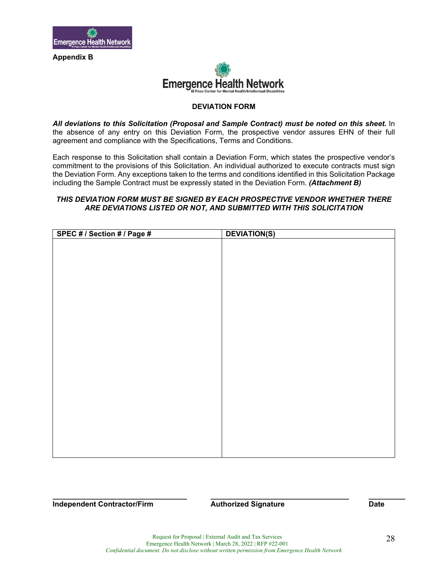

**Appendix B** 



#### **DEVIATION FORM**

*All deviations to this Solicitation (Proposal and Sample Contract) must be noted on this sheet.* In the absence of any entry on this Deviation Form, the prospective vendor assures EHN of their full agreement and compliance with the Specifications, Terms and Conditions.

Each response to this Solicitation shall contain a Deviation Form, which states the prospective vendor's commitment to the provisions of this Solicitation. An individual authorized to execute contracts must sign the Deviation Form. Any exceptions taken to the terms and conditions identified in this Solicitation Package including the Sample Contract must be expressly stated in the Deviation Form. *(Attachment B)* 

#### *THIS DEVIATION FORM MUST BE SIGNED BY EACH PROSPECTIVE VENDOR WHETHER THERE ARE DEVIATIONS LISTED OR NOT, AND SUBMITTED WITH THIS SOLICITATION*

| <b>DEVIATION(S)</b> |
|---------------------|
|                     |
|                     |
|                     |
|                     |
|                     |
|                     |
|                     |
|                     |
|                     |
|                     |
|                     |
|                     |
|                     |
|                     |
|                     |
|                     |
|                     |
|                     |
|                     |
|                     |
|                     |
|                     |
|                     |
|                     |

**Independent Contractor/Firm Authorized Signature Contractor/Firm Authorized Signature Contractor/Firm Authorized Signature** 

**\_\_\_\_\_\_\_\_\_\_\_\_\_\_\_\_\_\_\_\_\_\_\_\_\_\_\_\_\_\_\_\_\_ \_\_\_\_\_\_\_\_\_\_\_\_\_\_\_\_\_\_\_\_\_\_\_\_\_\_\_\_\_\_\_\_\_\_ \_\_\_\_\_\_\_\_\_**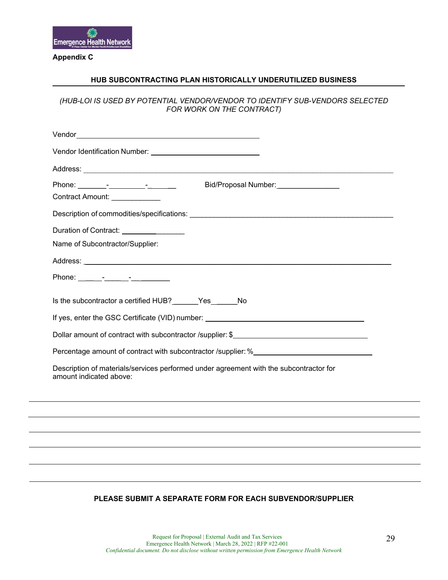

## **Appendix C**

#### **HUB SUBCONTRACTING PLAN HISTORICALLY UNDERUTILIZED BUSINESS**

*(HUB-LOI IS USED BY POTENTIAL VENDOR/VENDOR TO IDENTIFY SUB-VENDORS SELECTED FOR WORK ON THE CONTRACT)*

| Vendor entre a contra de la contra de la contra de la contra de la contra de la contra de la contra de la contra de la contra de la contra de la contra de la contra de la contra de la contra de la contra de la contra de la |
|--------------------------------------------------------------------------------------------------------------------------------------------------------------------------------------------------------------------------------|
|                                                                                                                                                                                                                                |
|                                                                                                                                                                                                                                |
| Bid/Proposal Number:<br><u> </u>                                                                                                                                                                                               |
| Contract Amount: _____________                                                                                                                                                                                                 |
|                                                                                                                                                                                                                                |
| Duration of Contract: <u>________</u> ______                                                                                                                                                                                   |
| Name of Subcontractor/Supplier:                                                                                                                                                                                                |
|                                                                                                                                                                                                                                |
|                                                                                                                                                                                                                                |
|                                                                                                                                                                                                                                |
| Is the subcontractor a certified HUB?______Yes______No                                                                                                                                                                         |
|                                                                                                                                                                                                                                |
| Dollar amount of contract with subcontractor /supplier: \$                                                                                                                                                                     |
| Percentage amount of contract with subcontractor /supplier: %                                                                                                                                                                  |
| Description of materials/services performed under agreement with the subcontractor for<br>amount indicated above:                                                                                                              |
|                                                                                                                                                                                                                                |
|                                                                                                                                                                                                                                |
| ,我们也不会有什么。""我们的人,我们也不会有什么?""我们的人,我们也不会有什么?""我们的人,我们也不会有什么?""我们的人,我们也不会有什么?""我们的人                                                                                                                                               |
|                                                                                                                                                                                                                                |
|                                                                                                                                                                                                                                |
|                                                                                                                                                                                                                                |
|                                                                                                                                                                                                                                |

### **PLEASE SUBMIT A SEPARATE FORM FOR EACH SUBVENDOR/SUPPLIER**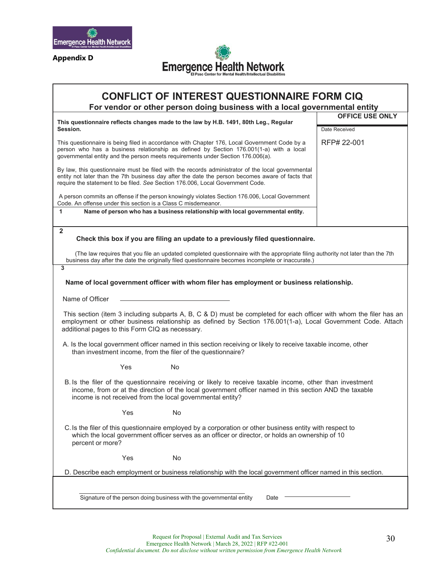

**Appendix D**



## **CONFLICT OF INTEREST QUESTIONNAIRE FORM CIQ**

**For vendor or other person doing business with a local governmental entity**

| This questionnaire reflects changes made to the law by H.B. 1491, 80th Leg., Regular                                                                                                                                                                                                    | <b>OFFICE USE ONLY</b> |  |  |
|-----------------------------------------------------------------------------------------------------------------------------------------------------------------------------------------------------------------------------------------------------------------------------------------|------------------------|--|--|
| Session.                                                                                                                                                                                                                                                                                | Date Received          |  |  |
| This questionnaire is being filed in accordance with Chapter 176, Local Government Code by a<br>person who has a business relationship as defined by Section 176.001(1-a) with a local<br>governmental entity and the person meets requirements under Section 176.006(a).               | RFP# 22-001            |  |  |
| By law, this questionnaire must be filed with the records administrator of the local governmental<br>entity not later than the 7th business day after the date the person becomes aware of facts that<br>require the statement to be filed. See Section 176.006, Local Government Code. |                        |  |  |
| A person commits an offense if the person knowingly violates Section 176.006, Local Government<br>Code. An offense under this section is a Class C misdemeanor.                                                                                                                         |                        |  |  |
| Name of person who has a business relationship with local governmental entity.<br>1                                                                                                                                                                                                     |                        |  |  |
| $\overline{2}$<br>Check this box if you are filing an update to a previously filed questionnaire.                                                                                                                                                                                       |                        |  |  |
| (The law requires that you file an updated completed questionnaire with the appropriate filing authority not later than the 7th<br>business day after the date the originally filed questionnaire becomes incomplete or inaccurate.)                                                    |                        |  |  |
| 3                                                                                                                                                                                                                                                                                       |                        |  |  |
| Name of local government officer with whom filer has employment or business relationship.                                                                                                                                                                                               |                        |  |  |
| Name of Officer                                                                                                                                                                                                                                                                         |                        |  |  |
| This section (item 3 including subparts A, B, C & D) must be completed for each officer with whom the filer has an<br>employment or other business relationship as defined by Section 176.001(1-a), Local Government Code. Attach<br>additional pages to this Form CIQ as necessary.    |                        |  |  |
| A. Is the local government officer named in this section receiving or likely to receive taxable income, other<br>than investment income, from the filer of the questionnaire?                                                                                                           |                        |  |  |
| Yes<br>No                                                                                                                                                                                                                                                                               |                        |  |  |
| B. Is the filer of the questionnaire receiving or likely to receive taxable income, other than investment<br>income, from or at the direction of the local government officer named in this section AND the taxable<br>income is not received from the local governmental entity?       |                        |  |  |
| No<br>Yes                                                                                                                                                                                                                                                                               |                        |  |  |
| C. Is the filer of this questionnaire employed by a corporation or other business entity with respect to<br>which the local government officer serves as an officer or director, or holds an ownership of 10<br>percent or more?                                                        |                        |  |  |
| Yes<br>No                                                                                                                                                                                                                                                                               |                        |  |  |
| D. Describe each employment or business relationship with the local government officer named in this section.                                                                                                                                                                           |                        |  |  |
|                                                                                                                                                                                                                                                                                         |                        |  |  |
| Signature of the person doing business with the governmental entity<br>Date                                                                                                                                                                                                             |                        |  |  |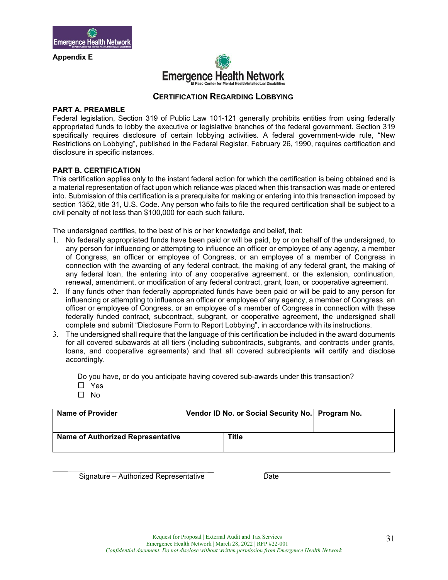

**Appendix E**



### **CERTIFICATION REGARDING LOBBYING**

#### **PART A. PREAMBLE**

Federal legislation, Section 319 of Public Law 101-121 generally prohibits entities from using federally appropriated funds to lobby the executive or legislative branches of the federal government. Section 319 specifically requires disclosure of certain lobbying activities. A federal government-wide rule, "New Restrictions on Lobbying", published in the Federal Register, February 26, 1990, requires certification and disclosure in specific instances.

#### **PART B. CERTIFICATION**

This certification applies only to the instant federal action for which the certification is being obtained and is a material representation of fact upon which reliance was placed when this transaction was made or entered into. Submission of this certification is a prerequisite for making or entering into this transaction imposed by section 1352, title 31, U.S. Code. Any person who fails to file the required certification shall be subject to a civil penalty of not less than \$100,000 for each such failure.

The undersigned certifies, to the best of his or her knowledge and belief, that:

- 1. No federally appropriated funds have been paid or will be paid, by or on behalf of the undersigned, to any person for influencing or attempting to influence an officer or employee of any agency, a member of Congress, an officer or employee of Congress, or an employee of a member of Congress in connection with the awarding of any federal contract, the making of any federal grant, the making of any federal loan, the entering into of any cooperative agreement, or the extension, continuation, renewal, amendment, or modification of any federal contract, grant, loan, or cooperative agreement.
- 2. If any funds other than federally appropriated funds have been paid or will be paid to any person for influencing or attempting to influence an officer or employee of any agency, a member of Congress, an officer or employee of Congress, or an employee of a member of Congress in connection with these federally funded contract, subcontract, subgrant, or cooperative agreement, the undersigned shall complete and submit "Disclosure Form to Report Lobbying", in accordance with its instructions.
- 3. The undersigned shall require that the language of this certification be included in the award documents for all covered subawards at all tiers (including subcontracts, subgrants, and contracts under grants, loans, and cooperative agreements) and that all covered subrecipients will certify and disclose accordingly.

Do you have, or do you anticipate having covered sub-awards under this transaction? □ Yes

 $\Box$  No

| <b>Name of Provider</b>                  | Vendor ID No. or Social Security No. Program No. |  |
|------------------------------------------|--------------------------------------------------|--|
| <b>Name of Authorized Representative</b> | <b>Title</b>                                     |  |

Signature – Authorized Representative Date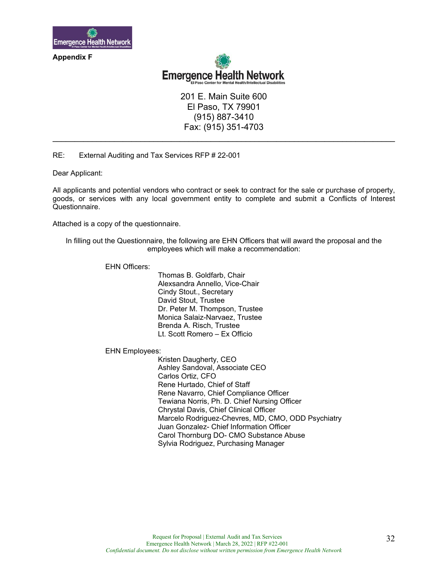

**Appendix F**



201 E. Main Suite 600 El Paso, TX 79901 (915) 887-3410 Fax: (915) 351-4703

**\_\_\_\_\_\_\_\_\_\_\_\_\_\_\_\_\_\_\_\_\_\_\_\_\_\_\_\_\_\_\_\_\_\_\_\_\_\_\_\_\_\_\_\_\_\_\_\_\_\_\_\_\_\_\_\_\_\_\_\_\_\_\_\_\_\_\_\_\_\_\_\_\_\_\_\_\_\_** 

RE: External Auditing and Tax Services RFP # 22-001

Dear Applicant:

All applicants and potential vendors who contract or seek to contract for the sale or purchase of property, goods, or services with any local government entity to complete and submit a Conflicts of Interest Questionnaire.

Attached is a copy of the questionnaire.

In filling out the Questionnaire, the following are EHN Officers that will award the proposal and the employees which will make a recommendation:

EHN Officers:

 Thomas B. Goldfarb, Chair Alexsandra Annello, Vice-Chair Cindy Stout., Secretary David Stout, Trustee Dr. Peter M. Thompson, Trustee Monica Salaiz-Narvaez, Trustee Brenda A. Risch, Trustee Lt. Scott Romero – Ex Officio

EHN Employees:

 Kristen Daugherty, CEO Ashley Sandoval, Associate CEO Carlos Ortiz, CFO Rene Hurtado, Chief of Staff Rene Navarro, Chief Compliance Officer Tewiana Norris, Ph. D. Chief Nursing Officer Chrystal Davis, Chief Clinical Officer Marcelo Rodriguez-Chevres, MD, CMO, ODD Psychiatry Juan Gonzalez- Chief Information Officer Carol Thornburg DO- CMO Substance Abuse Sylvia Rodriguez, Purchasing Manager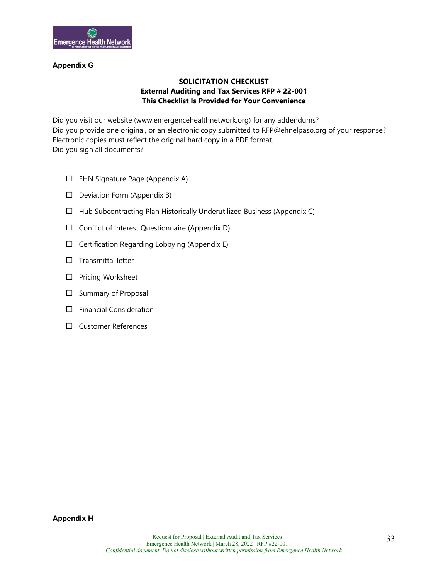

### **Appendix G**

## **SOLICITATION CHECKLIST External Auditing and Tax Services RFP # 22-001 This Checklist Is Provided for Your Convenience**

Did you visit our website (www.emergencehealthnetwork.org) for any addendums? Did you provide one original, or an electronic copy submitted to RFP@ehnelpaso.org of your response? Electronic copies must reflect the original hard copy in a PDF format. Did you sign all documents?

- $\Box$  EHN Signature Page (Appendix A)
- $\Box$  Deviation Form (Appendix B)
- $\Box$  Hub Subcontracting Plan Historically Underutilized Business (Appendix C)
- $\Box$  Conflict of Interest Questionnaire (Appendix D)
- $\Box$  Certification Regarding Lobbying (Appendix E)
- $\Box$  Transmittal letter
- $\square$  Pricing Worksheet
- $\square$  Summary of Proposal
- $\square$  Financial Consideration
- Customer References

**Appendix H**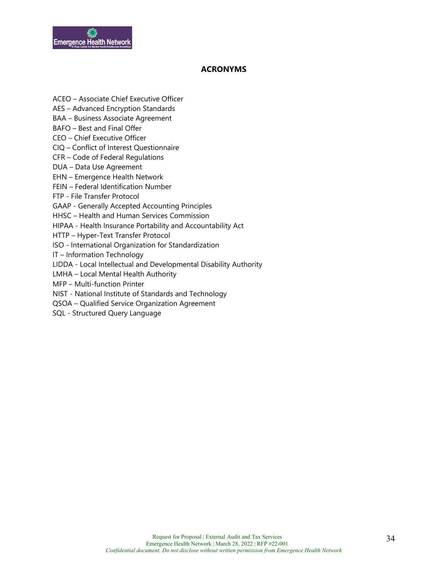

## **ACRONYMS**

- ACEO Associate Chief Executive Officer
- AES Advanced Encryption Standards
- BAA Business Associate Agreement
- BAFO Best and Final Offer
- CEO Chief Executive Officer
- CIQ Conflict of Interest Questionnaire
- CFR Code of Federal Regulations
- DUA Data Use Agreement
- EHN Emergence Health Network
- FEIN Federal Identification Number
- FTP File Transfer Protocol
- GAAP Generally Accepted Accounting Principles
- HHSC Health and Human Services Commission
- HIPAA Health Insurance Portability and Accountability Act
- HTTP Hyper-Text Transfer Protocol
- ISO International Organization for Standardization
- IT Information Technology
- LIDDA Local Intellectual and Developmental Disability Authority
- LMHA Local Mental Health Authority
- MFP Multi-function Printer
- NIST National Institute of Standards and Technology
- QSOA Qualified Service Organization Agreement
- SQL Structured Query Language